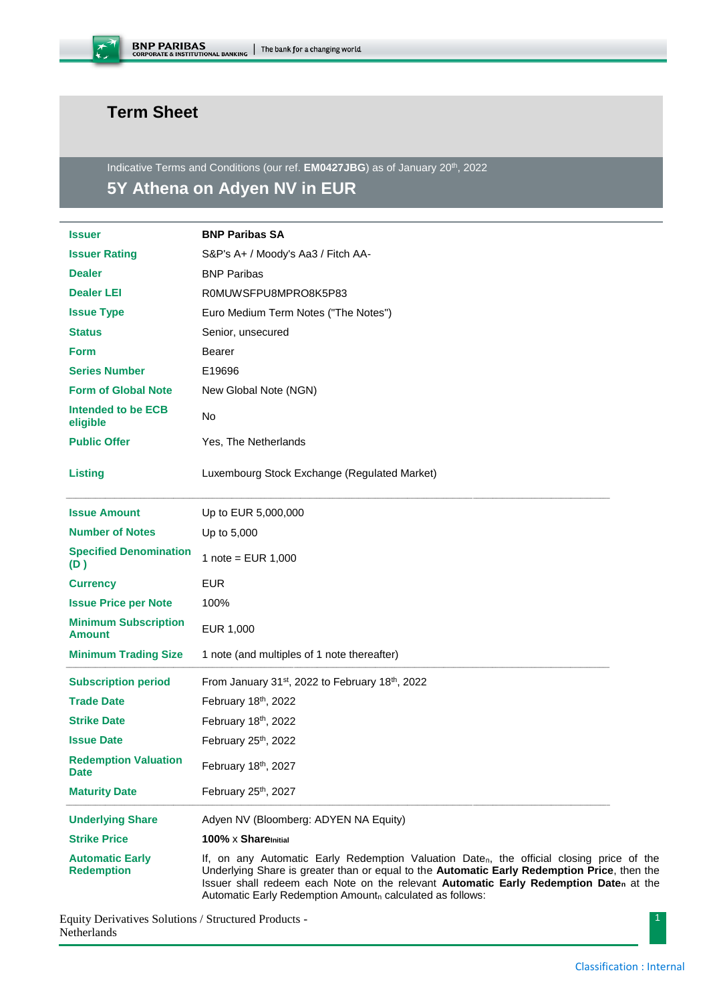

## **Term Sheet**

Indicative Terms and Conditions (our ref. **EM0427JBG**) as of January 20<sup>th</sup>, 2022

# **5Y Athena on Adyen NV in EUR**

| <b>Issuer</b>                                | <b>BNP Paribas SA</b>                                                                                                                                                                                                                                                                                                                         |
|----------------------------------------------|-----------------------------------------------------------------------------------------------------------------------------------------------------------------------------------------------------------------------------------------------------------------------------------------------------------------------------------------------|
| <b>Issuer Rating</b>                         | S&P's A+ / Moody's Aa3 / Fitch AA-                                                                                                                                                                                                                                                                                                            |
| <b>Dealer</b>                                | <b>BNP Paribas</b>                                                                                                                                                                                                                                                                                                                            |
| <b>Dealer LEI</b>                            | R0MUWSFPU8MPRO8K5P83                                                                                                                                                                                                                                                                                                                          |
| <b>Issue Type</b>                            | Euro Medium Term Notes ("The Notes")                                                                                                                                                                                                                                                                                                          |
| <b>Status</b>                                | Senior, unsecured                                                                                                                                                                                                                                                                                                                             |
| <b>Form</b>                                  | <b>Bearer</b>                                                                                                                                                                                                                                                                                                                                 |
| <b>Series Number</b>                         | E19696                                                                                                                                                                                                                                                                                                                                        |
| <b>Form of Global Note</b>                   | New Global Note (NGN)                                                                                                                                                                                                                                                                                                                         |
| Intended to be ECB<br>eligible               | No                                                                                                                                                                                                                                                                                                                                            |
| <b>Public Offer</b>                          | Yes, The Netherlands                                                                                                                                                                                                                                                                                                                          |
| <b>Listing</b>                               | Luxembourg Stock Exchange (Regulated Market)                                                                                                                                                                                                                                                                                                  |
| <b>Issue Amount</b>                          | Up to EUR 5,000,000                                                                                                                                                                                                                                                                                                                           |
| <b>Number of Notes</b>                       | Up to 5,000                                                                                                                                                                                                                                                                                                                                   |
| <b>Specified Denomination</b><br>(D)         | 1 note = $EUR$ 1,000                                                                                                                                                                                                                                                                                                                          |
| <b>Currency</b>                              | <b>EUR</b>                                                                                                                                                                                                                                                                                                                                    |
| <b>Issue Price per Note</b>                  | 100%                                                                                                                                                                                                                                                                                                                                          |
| <b>Minimum Subscription</b><br><b>Amount</b> | EUR 1,000                                                                                                                                                                                                                                                                                                                                     |
| <b>Minimum Trading Size</b>                  | 1 note (and multiples of 1 note thereafter)                                                                                                                                                                                                                                                                                                   |
| <b>Subscription period</b>                   | From January 31 <sup>st</sup> , 2022 to February 18 <sup>th</sup> , 2022                                                                                                                                                                                                                                                                      |
| <b>Trade Date</b>                            | February 18th, 2022                                                                                                                                                                                                                                                                                                                           |
| <b>Strike Date</b>                           | February 18th, 2022                                                                                                                                                                                                                                                                                                                           |
| <b>Issue Date</b>                            | February 25th, 2022                                                                                                                                                                                                                                                                                                                           |
| <b>Redemption Valuation</b><br><b>Date</b>   | February 18th, 2027                                                                                                                                                                                                                                                                                                                           |
| <b>Maturity Date</b>                         | February 25th, 2027                                                                                                                                                                                                                                                                                                                           |
| <b>Underlying Share</b>                      | Adyen NV (Bloomberg: ADYEN NA Equity)                                                                                                                                                                                                                                                                                                         |
| <b>Strike Price</b>                          | 100% $\times$ Share Initial                                                                                                                                                                                                                                                                                                                   |
| <b>Automatic Early</b><br><b>Redemption</b>  | If, on any Automatic Early Redemption Valuation Daten, the official closing price of the<br>Underlying Share is greater than or equal to the Automatic Early Redemption Price, then the<br>Issuer shall redeem each Note on the relevant Automatic Early Redemption Daten at the<br>Automatic Early Redemption Amountn calculated as follows: |

Equity Derivatives Solutions / Structured Products - Netherlands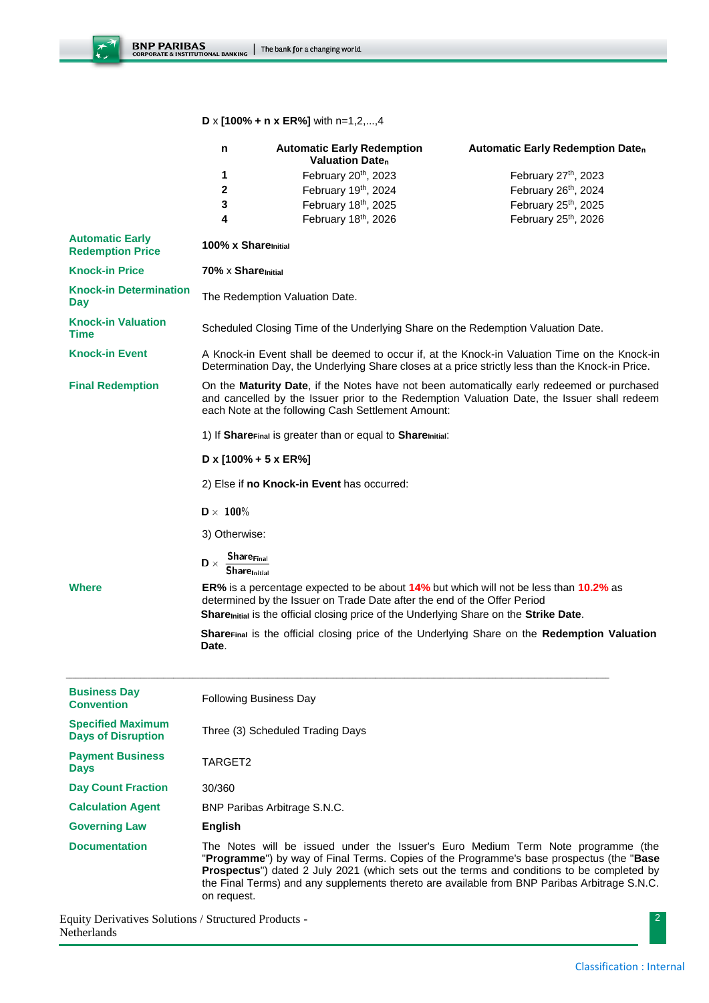$\overline{\mathcal{L}}$ 

### **D** x **[100% + n x ER%]** with n=1,2,...,4

|                                                       | n                                                                                                                                                                                                                                               | <b>Automatic Early Redemption</b><br><b>Valuation Daten</b>                                                                                                                                                                                                | <b>Automatic Early Redemption Daten</b>                                                                                                                                                                                                                                                                                                                                    |  |  |
|-------------------------------------------------------|-------------------------------------------------------------------------------------------------------------------------------------------------------------------------------------------------------------------------------------------------|------------------------------------------------------------------------------------------------------------------------------------------------------------------------------------------------------------------------------------------------------------|----------------------------------------------------------------------------------------------------------------------------------------------------------------------------------------------------------------------------------------------------------------------------------------------------------------------------------------------------------------------------|--|--|
|                                                       | 1                                                                                                                                                                                                                                               | February 20th, 2023                                                                                                                                                                                                                                        | February 27th, 2023                                                                                                                                                                                                                                                                                                                                                        |  |  |
|                                                       | $\mathbf 2$                                                                                                                                                                                                                                     | February 19th, 2024                                                                                                                                                                                                                                        | February 26th, 2024                                                                                                                                                                                                                                                                                                                                                        |  |  |
|                                                       | 3                                                                                                                                                                                                                                               | February 18th, 2025                                                                                                                                                                                                                                        | February 25th, 2025                                                                                                                                                                                                                                                                                                                                                        |  |  |
|                                                       | 4                                                                                                                                                                                                                                               | February 18th, 2026                                                                                                                                                                                                                                        | February 25th, 2026                                                                                                                                                                                                                                                                                                                                                        |  |  |
| <b>Automatic Early</b><br><b>Redemption Price</b>     | 100% x Share <sub>Initial</sub>                                                                                                                                                                                                                 |                                                                                                                                                                                                                                                            |                                                                                                                                                                                                                                                                                                                                                                            |  |  |
| <b>Knock-in Price</b>                                 | $70\% \times$ Share $\mathsf{Initial}$                                                                                                                                                                                                          |                                                                                                                                                                                                                                                            |                                                                                                                                                                                                                                                                                                                                                                            |  |  |
| <b>Knock-in Determination</b><br>Day                  | The Redemption Valuation Date.                                                                                                                                                                                                                  |                                                                                                                                                                                                                                                            |                                                                                                                                                                                                                                                                                                                                                                            |  |  |
| <b>Knock-in Valuation</b><br><b>Time</b>              | Scheduled Closing Time of the Underlying Share on the Redemption Valuation Date.                                                                                                                                                                |                                                                                                                                                                                                                                                            |                                                                                                                                                                                                                                                                                                                                                                            |  |  |
| <b>Knock-in Event</b>                                 | A Knock-in Event shall be deemed to occur if, at the Knock-in Valuation Time on the Knock-in<br>Determination Day, the Underlying Share closes at a price strictly less than the Knock-in Price.                                                |                                                                                                                                                                                                                                                            |                                                                                                                                                                                                                                                                                                                                                                            |  |  |
| <b>Final Redemption</b>                               | On the Maturity Date, if the Notes have not been automatically early redeemed or purchased<br>and cancelled by the Issuer prior to the Redemption Valuation Date, the Issuer shall redeem<br>each Note at the following Cash Settlement Amount: |                                                                                                                                                                                                                                                            |                                                                                                                                                                                                                                                                                                                                                                            |  |  |
|                                                       | 1) If Share <sub>Final</sub> is greater than or equal to Share <sub>Initial</sub> :                                                                                                                                                             |                                                                                                                                                                                                                                                            |                                                                                                                                                                                                                                                                                                                                                                            |  |  |
|                                                       | D x $[100\% + 5 \times ER\%]$                                                                                                                                                                                                                   |                                                                                                                                                                                                                                                            |                                                                                                                                                                                                                                                                                                                                                                            |  |  |
|                                                       | 2) Else if no Knock-in Event has occurred:                                                                                                                                                                                                      |                                                                                                                                                                                                                                                            |                                                                                                                                                                                                                                                                                                                                                                            |  |  |
|                                                       | $D \times 100\%$                                                                                                                                                                                                                                |                                                                                                                                                                                                                                                            |                                                                                                                                                                                                                                                                                                                                                                            |  |  |
|                                                       | 3) Otherwise:                                                                                                                                                                                                                                   |                                                                                                                                                                                                                                                            |                                                                                                                                                                                                                                                                                                                                                                            |  |  |
|                                                       | <b>Share<sub>Final</sub></b><br>$\mathbf{D} \times$<br><b>Share</b> <sub>Initial</sub>                                                                                                                                                          |                                                                                                                                                                                                                                                            |                                                                                                                                                                                                                                                                                                                                                                            |  |  |
| <b>Where</b>                                          |                                                                                                                                                                                                                                                 | ER% is a percentage expected to be about 14% but which will not be less than 10.2% as<br>determined by the Issuer on Trade Date after the end of the Offer Period<br>Sharemitial is the official closing price of the Underlying Share on the Strike Date. |                                                                                                                                                                                                                                                                                                                                                                            |  |  |
|                                                       | Date.                                                                                                                                                                                                                                           |                                                                                                                                                                                                                                                            | <b>ShareFinal is the official closing price of the Underlying Share on the Redemption Valuation</b>                                                                                                                                                                                                                                                                        |  |  |
| <b>Business Day</b><br><b>Convention</b>              | <b>Following Business Day</b>                                                                                                                                                                                                                   |                                                                                                                                                                                                                                                            |                                                                                                                                                                                                                                                                                                                                                                            |  |  |
| <b>Specified Maximum</b><br><b>Days of Disruption</b> | Three (3) Scheduled Trading Days                                                                                                                                                                                                                |                                                                                                                                                                                                                                                            |                                                                                                                                                                                                                                                                                                                                                                            |  |  |
| <b>Payment Business</b><br><b>Days</b>                | TARGET2                                                                                                                                                                                                                                         |                                                                                                                                                                                                                                                            |                                                                                                                                                                                                                                                                                                                                                                            |  |  |
| <b>Day Count Fraction</b>                             | 30/360                                                                                                                                                                                                                                          |                                                                                                                                                                                                                                                            |                                                                                                                                                                                                                                                                                                                                                                            |  |  |
| <b>Calculation Agent</b>                              | <b>BNP Paribas Arbitrage S.N.C.</b>                                                                                                                                                                                                             |                                                                                                                                                                                                                                                            |                                                                                                                                                                                                                                                                                                                                                                            |  |  |
| <b>Governing Law</b>                                  | <b>English</b>                                                                                                                                                                                                                                  |                                                                                                                                                                                                                                                            |                                                                                                                                                                                                                                                                                                                                                                            |  |  |
| <b>Documentation</b>                                  | on request.                                                                                                                                                                                                                                     |                                                                                                                                                                                                                                                            | The Notes will be issued under the Issuer's Euro Medium Term Note programme (the<br>"Programme") by way of Final Terms. Copies of the Programme's base prospectus (the "Base<br>Prospectus") dated 2 July 2021 (which sets out the terms and conditions to be completed by<br>the Final Terms) and any supplements thereto are available from BNP Paribas Arbitrage S.N.C. |  |  |

Equity Derivatives Solutions / Structured Products - Netherlands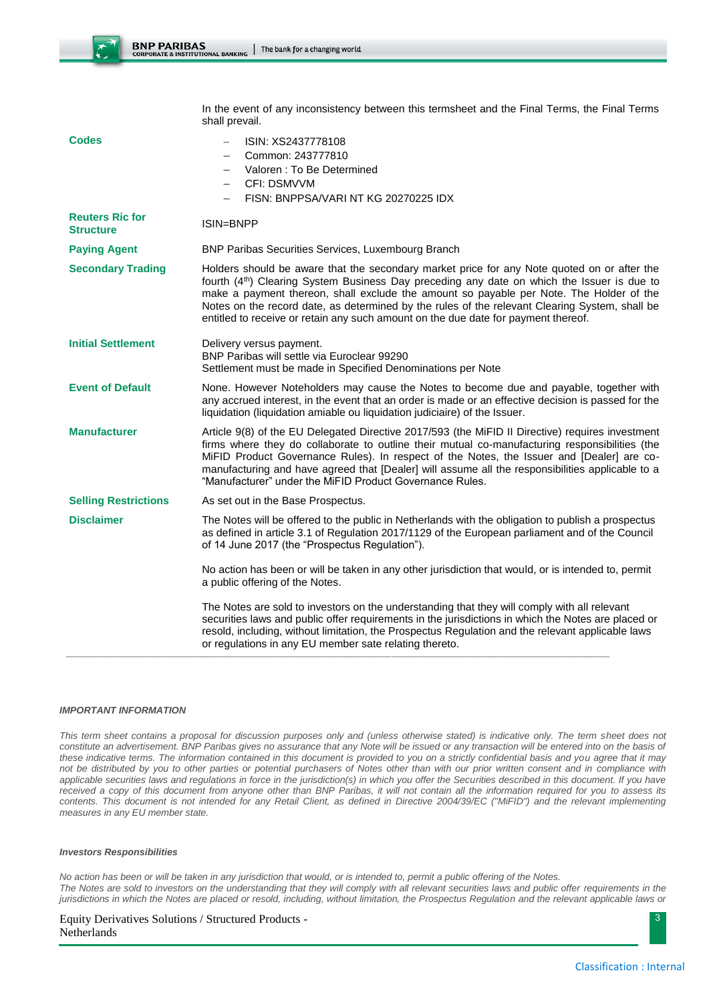|                                            | shall prevail.                                                                                                                                                                                                                                                                                                                                                                                                                                                                            |  |  |
|--------------------------------------------|-------------------------------------------------------------------------------------------------------------------------------------------------------------------------------------------------------------------------------------------------------------------------------------------------------------------------------------------------------------------------------------------------------------------------------------------------------------------------------------------|--|--|
| <b>Codes</b>                               | ISIN: XS2437778108<br>Common: 243777810<br>Valoren : To Be Determined<br><b>CFI: DSMVVM</b><br>FISN: BNPPSA/VARI NT KG 20270225 IDX                                                                                                                                                                                                                                                                                                                                                       |  |  |
| <b>Reuters Ric for</b><br><b>Structure</b> | ISIN=BNPP                                                                                                                                                                                                                                                                                                                                                                                                                                                                                 |  |  |
| <b>Paying Agent</b>                        | BNP Paribas Securities Services, Luxembourg Branch                                                                                                                                                                                                                                                                                                                                                                                                                                        |  |  |
| <b>Secondary Trading</b>                   | Holders should be aware that the secondary market price for any Note quoted on or after the<br>fourth (4 <sup>th</sup> ) Clearing System Business Day preceding any date on which the Issuer is due to<br>make a payment thereon, shall exclude the amount so payable per Note. The Holder of the<br>Notes on the record date, as determined by the rules of the relevant Clearing System, shall be<br>entitled to receive or retain any such amount on the due date for payment thereof. |  |  |
| <b>Initial Settlement</b>                  | Delivery versus payment.<br>BNP Paribas will settle via Euroclear 99290<br>Settlement must be made in Specified Denominations per Note                                                                                                                                                                                                                                                                                                                                                    |  |  |
| <b>Event of Default</b>                    | None. However Noteholders may cause the Notes to become due and payable, together with<br>any accrued interest, in the event that an order is made or an effective decision is passed for the<br>liquidation (liquidation amiable ou liquidation judiciaire) of the Issuer.                                                                                                                                                                                                               |  |  |
| <b>Manufacturer</b>                        | Article 9(8) of the EU Delegated Directive 2017/593 (the MiFID II Directive) requires investment<br>firms where they do collaborate to outline their mutual co-manufacturing responsibilities (the<br>MiFID Product Governance Rules). In respect of the Notes, the Issuer and [Dealer] are co-<br>manufacturing and have agreed that [Dealer] will assume all the responsibilities applicable to a<br>"Manufacturer" under the MiFID Product Governance Rules.                           |  |  |
| <b>Selling Restrictions</b>                | As set out in the Base Prospectus.                                                                                                                                                                                                                                                                                                                                                                                                                                                        |  |  |
| <b>Disclaimer</b>                          | The Notes will be offered to the public in Netherlands with the obligation to publish a prospectus<br>as defined in article 3.1 of Regulation 2017/1129 of the European parliament and of the Council<br>of 14 June 2017 (the "Prospectus Regulation").                                                                                                                                                                                                                                   |  |  |
|                                            | No action has been or will be taken in any other jurisdiction that would, or is intended to, permit<br>a public offering of the Notes.                                                                                                                                                                                                                                                                                                                                                    |  |  |
|                                            | The Notes are sold to investors on the understanding that they will comply with all relevant<br>securities laws and public offer requirements in the jurisdictions in which the Notes are placed or<br>resold, including, without limitation, the Prospectus Regulation and the relevant applicable laws<br>or regulations in any EU member sate relating thereto.                                                                                                                        |  |  |
|                                            |                                                                                                                                                                                                                                                                                                                                                                                                                                                                                           |  |  |

In the event of any inconsistency between this termsheet and the Final Terms, the Final Terms

#### *IMPORTANT INFORMATION*

*This term sheet contains a proposal for discussion purposes only and (unless otherwise stated) is indicative only. The term sheet does not constitute an advertisement. BNP Paribas gives no assurance that any Note will be issued or any transaction will be entered into on the basis of these indicative terms. The information contained in this document is provided to you on a strictly confidential basis and you agree that it may not be distributed by you to other parties or potential purchasers of Notes other than with our prior written consent and in compliance with*  applicable securities laws and regulations in force in the jurisdiction(s) in which you offer the Securities described in this document. If you have *received a copy of this document from anyone other than BNP Paribas, it will not contain all the information required for you to assess its contents. This document is not intended for any Retail Client, as defined in Directive 2004/39/EC ("MiFID") and the relevant implementing measures in any EU member state.*

#### *Investors Responsibilities*

*No action has been or will be taken in any jurisdiction that would, or is intended to, permit a public offering of the Notes. The Notes are sold to investors on the understanding that they will comply with all relevant securities laws and public offer requirements in the jurisdictions in which the Notes are placed or resold, including, without limitation, the Prospectus Regulation and the relevant applicable laws or* 

### Equity Derivatives Solutions / Structured Products -

Netherlands

3